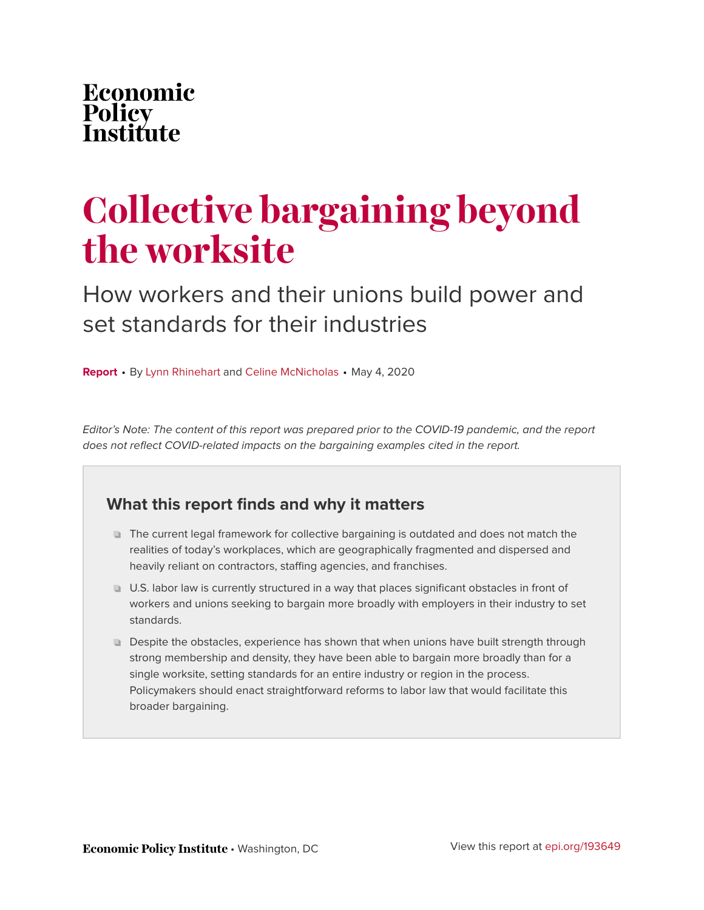### Economic Policy<br>Institu fiıte

# **Collective bargaining beyond the worksite**

How workers and their unions build power and set standards for their industries

**Report** • By [Lynn Rhinehart](https://www.epi.org/people/lynn-rhinehart/) and [Celine McNicholas](https://www.epi.org/people/celine-mcnicholas/) • May 4, 2020

Editor's Note: The content of this report was prepared prior to the COVID-19 pandemic, and the report does not reflect COVID-related impacts on the bargaining examples cited in the report.

### **What this report finds and why it matters**

- The current legal framework for collective bargaining is outdated and does not match the realities of today's workplaces, which are geographically fragmented and dispersed and heavily reliant on contractors, staffing agencies, and franchises.
- U.S. labor law is currently structured in a way that places significant obstacles in front of workers and unions seeking to bargain more broadly with employers in their industry to set standards.
- **Despite the obstacles, experience has shown that when unions have built strength through** strong membership and density, they have been able to bargain more broadly than for a single worksite, setting standards for an entire industry or region in the process. Policymakers should enact straightforward reforms to labor law that would facilitate this broader bargaining.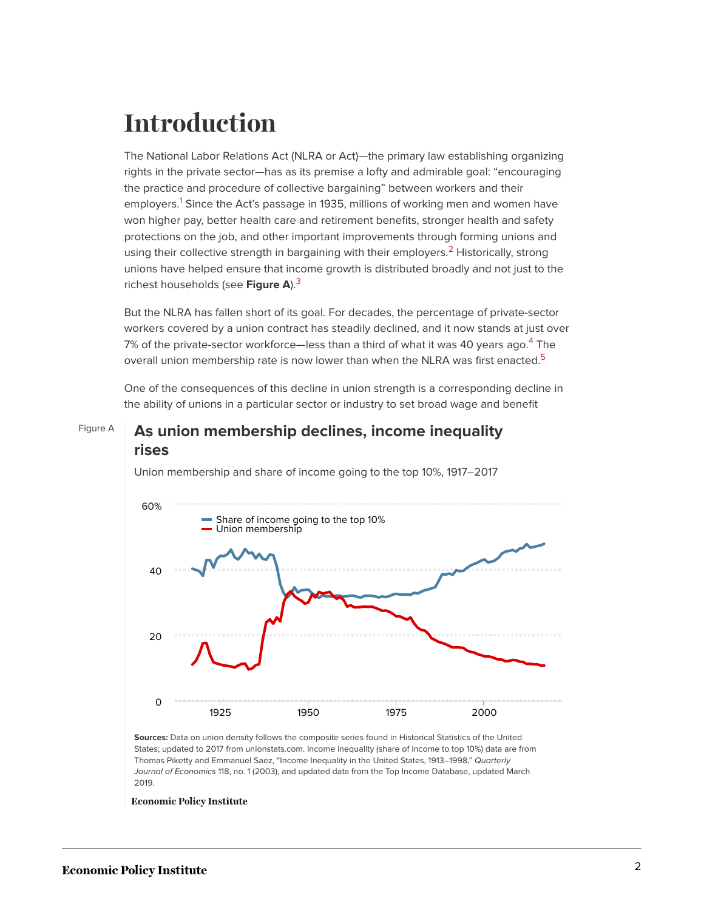## **Introduction**

<span id="page-1-0"></span>The National Labor Relations Act (NLRA or Act)—the primary law establishing organizing rights in the private sector—has as its premise a lofty and admirable goal: "encouraging the practice and procedure of collective bargaining" between workers and their employers.<sup>[1](#page-13-0)</sup> Since the Act's passage in 1935, millions of working men and women have won higher pay, better health care and retirement benefits, stronger health and safety protections on the job, and other important improvements through forming unions and using their collective strength in bargaining with their employers.<sup>[2](#page-13-1)</sup> Historically, strong unions have helped ensure that income growth is distributed broadly and not just to the richest households (see **Figure A**).[3](#page-13-2)

<span id="page-1-2"></span><span id="page-1-1"></span>But the NLRA has fallen short of its goal. For decades, the percentage of private-sector workers covered by a union contract has steadily declined, and it now stands at just over 7% of the private-sector workforce—less than a third of what it was [4](#page-13-3)0 years ago.<sup>4</sup> The overall union membership rate is now lower than when the NLRA was first enacted.<sup>[5](#page-13-4)</sup>

One of the consequences of this decline in union strength is a corresponding decline in the ability of unions in a particular sector or industry to set broad wage and benefit

#### <span id="page-1-4"></span><span id="page-1-3"></span>Figure A **As union membership declines, income inequality rises**



Union membership and share of income going to the top 10%, 1917–2017

**Sources:** Data on union density follows the composite series found in Historical Statistics of the United States; updated to 2017 from unionstats.com. Income inequality (share of income to top 10%) data are from Thomas Piketty and Emmanuel Saez, "Income Inequality in the United States, 1913–1998," Quarterly Journal of Economics 118, no. 1 (2003), and updated data from the Top Income Database, updated March 2019.

**Economic Policy Institute**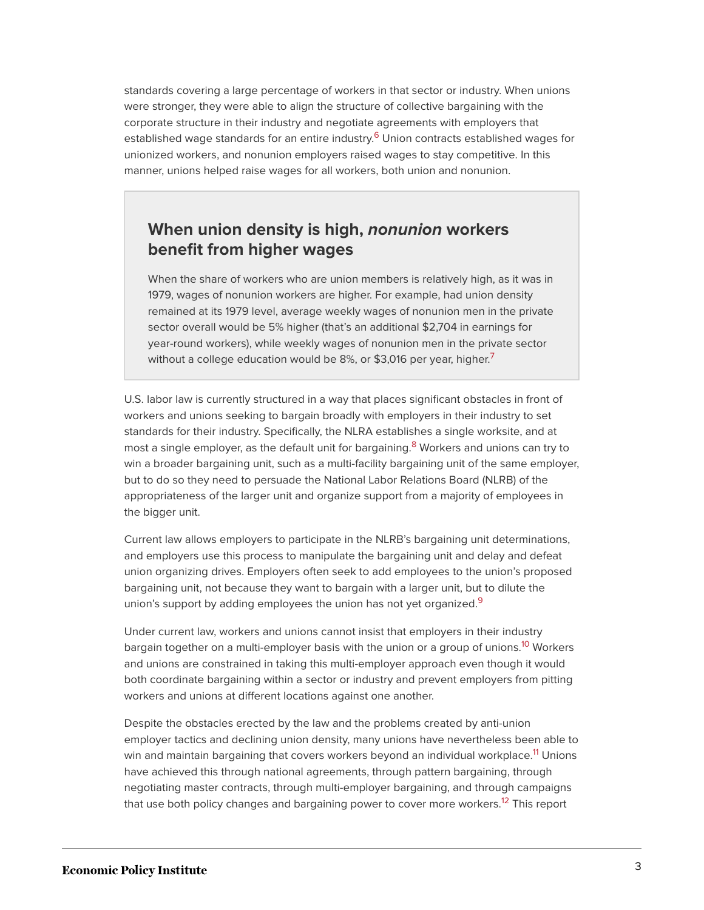<span id="page-2-0"></span>standards covering a large percentage of workers in that sector or industry. When unions were stronger, they were able to align the structure of collective bargaining with the corporate structure in their industry and negotiate agreements with employers that established wage standards for an entire industry.<sup>[6](#page-13-5)</sup> Union contracts established wages for unionized workers, and nonunion employers raised wages to stay competitive. In this manner, unions helped raise wages for all workers, both union and nonunion.

#### **When union density is high,** *nonunion* **workers benefit from higher wages**

When the share of workers who are union members is relatively high, as it was in 1979, wages of nonunion workers are higher. For example, had union density remained at its 1979 level, average weekly wages of nonunion men in the private sector overall would be 5% higher (that's an additional \$2,704 in earnings for year-round workers), while weekly wages of nonunion men in the private sector without a college education would be 8%, or \$3,016 per year, higher.<sup>[7](#page-14-0)</sup>

<span id="page-2-2"></span><span id="page-2-1"></span>U.S. labor law is currently structured in a way that places significant obstacles in front of workers and unions seeking to bargain broadly with employers in their industry to set standards for their industry. Specifically, the NLRA establishes a single worksite, and at most a single employer, as the default unit for bargaining.<sup>[8](#page-14-1)</sup> Workers and unions can try to win a broader bargaining unit, such as a multi-facility bargaining unit of the same employer, but to do so they need to persuade the National Labor Relations Board (NLRB) of the appropriateness of the larger unit and organize support from a majority of employees in the bigger unit.

Current law allows employers to participate in the NLRB's bargaining unit determinations, and employers use this process to manipulate the bargaining unit and delay and defeat union organizing drives. Employers often seek to add employees to the union's proposed bargaining unit, not because they want to bargain with a larger unit, but to dilute the union's support by adding employees the union has not yet organized.<sup>[9](#page-14-2)</sup>

<span id="page-2-4"></span><span id="page-2-3"></span>Under current law, workers and unions cannot insist that employers in their industry bargain together on a multi-employer basis with the union or a group of unions.<sup>[10](#page-14-3)</sup> Workers and unions are constrained in taking this multi-employer approach even though it would both coordinate bargaining within a sector or industry and prevent employers from pitting workers and unions at different locations against one another.

<span id="page-2-6"></span><span id="page-2-5"></span>Despite the obstacles erected by the law and the problems created by anti-union employer tactics and declining union density, many unions have nevertheless been able to win and maintain bargaining that covers workers beyond an individual workplace.<sup>[11](#page-14-4)</sup> Unions have achieved this through national agreements, through pattern bargaining, through negotiating master contracts, through multi-employer bargaining, and through campaigns that use both policy changes and bargaining power to cover more workers.<sup>[12](#page-14-5)</sup> This report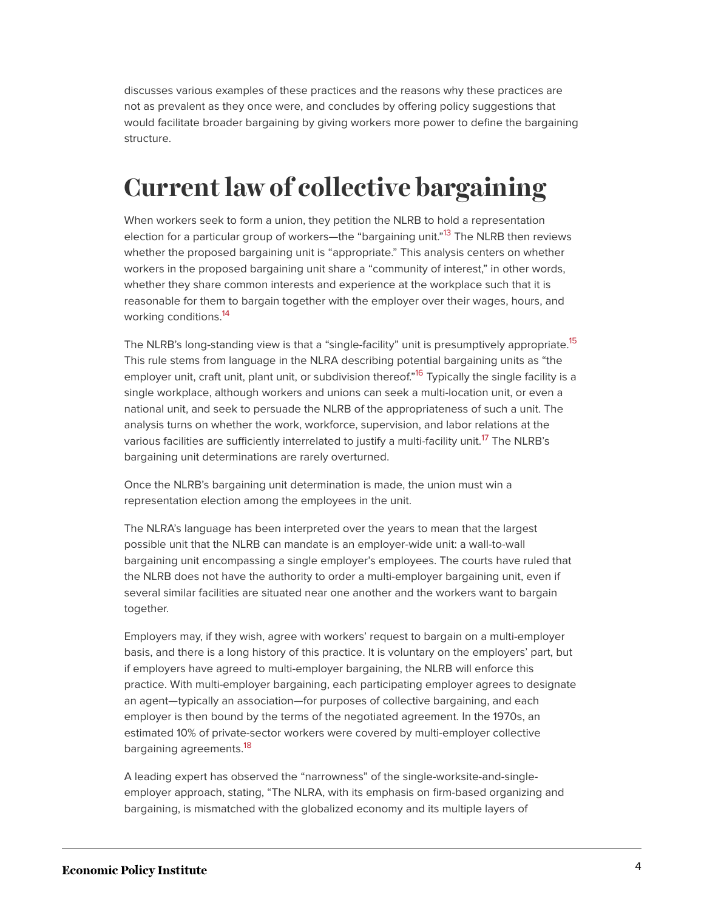discusses various examples of these practices and the reasons why these practices are not as prevalent as they once were, and concludes by offering policy suggestions that would facilitate broader bargaining by giving workers more power to define the bargaining structure.

## **Current law of collective bargaining**

<span id="page-3-0"></span>When workers seek to form a union, they petition the NLRB to hold a representation election for a particular group of workers—the "bargaining unit."<sup>[13](#page-14-6)</sup> The NLRB then reviews whether the proposed bargaining unit is "appropriate." This analysis centers on whether workers in the proposed bargaining unit share a "community of interest," in other words, whether they share common interests and experience at the workplace such that it is reasonable for them to bargain together with the employer over their wages, hours, and working conditions.<sup>[14](#page-14-7)</sup>

<span id="page-3-3"></span><span id="page-3-2"></span><span id="page-3-1"></span>The NLRB's long-standing view is that a "single-facility" unit is presumptively appropriate.<sup>[15](#page-14-8)</sup> This rule stems from language in the NLRA describing potential bargaining units as "the employer unit, craft unit, plant unit, or subdivision thereof."<sup>[16](#page-14-9)</sup> Typically the single facility is a single workplace, although workers and unions can seek a multi-location unit, or even a national unit, and seek to persuade the NLRB of the appropriateness of such a unit. The analysis turns on whether the work, workforce, supervision, and labor relations at the various facilities are sufficiently interrelated to justify a multi-facility unit.<sup>[17](#page-14-10)</sup> The NLRB's bargaining unit determinations are rarely overturned.

<span id="page-3-4"></span>Once the NLRB's bargaining unit determination is made, the union must win a representation election among the employees in the unit.

The NLRA's language has been interpreted over the years to mean that the largest possible unit that the NLRB can mandate is an employer-wide unit: a wall-to-wall bargaining unit encompassing a single employer's employees. The courts have ruled that the NLRB does not have the authority to order a multi-employer bargaining unit, even if several similar facilities are situated near one another and the workers want to bargain together.

Employers may, if they wish, agree with workers' request to bargain on a multi-employer basis, and there is a long history of this practice. It is voluntary on the employers' part, but if employers have agreed to multi-employer bargaining, the NLRB will enforce this practice. With multi-employer bargaining, each participating employer agrees to designate an agent—typically an association—for purposes of collective bargaining, and each employer is then bound by the terms of the negotiated agreement. In the 1970s, an estimated 10% of private-sector workers were covered by multi-employer collective bargaining agreements.<sup>[18](#page-15-0)</sup>

<span id="page-3-5"></span>A leading expert has observed the "narrowness" of the single-worksite-and-singleemployer approach, stating, "The NLRA, with its emphasis on firm-based organizing and bargaining, is mismatched with the globalized economy and its multiple layers of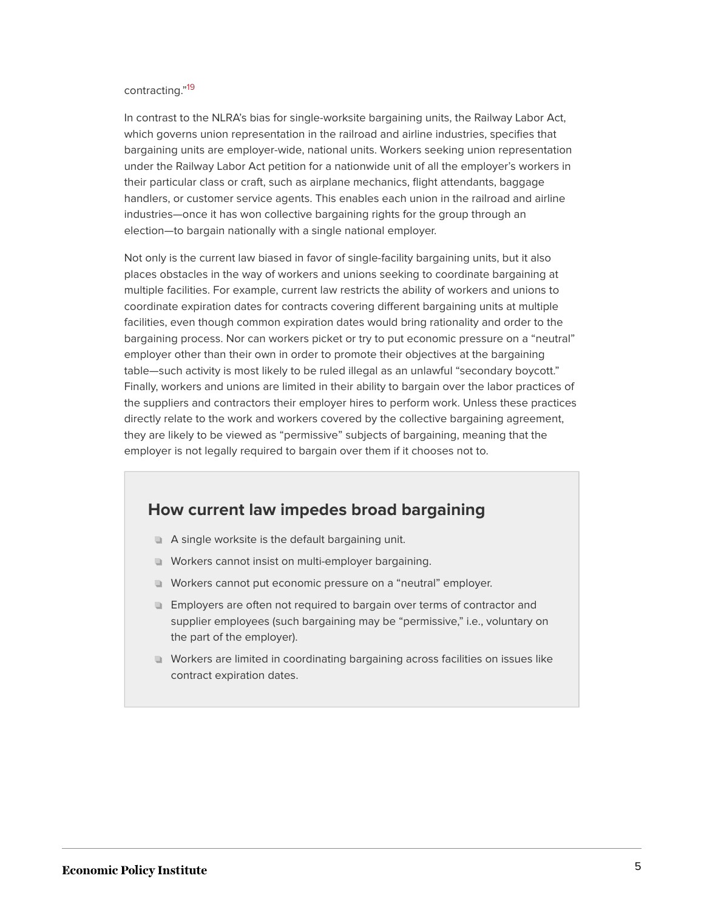#### <span id="page-4-0"></span>contracting." [19](#page-15-1)

In contrast to the NLRA's bias for single-worksite bargaining units, the Railway Labor Act, which governs union representation in the railroad and airline industries, specifies that bargaining units are employer-wide, national units. Workers seeking union representation under the Railway Labor Act petition for a nationwide unit of all the employer's workers in their particular class or craft, such as airplane mechanics, flight attendants, baggage handlers, or customer service agents. This enables each union in the railroad and airline industries—once it has won collective bargaining rights for the group through an election—to bargain nationally with a single national employer.

Not only is the current law biased in favor of single-facility bargaining units, but it also places obstacles in the way of workers and unions seeking to coordinate bargaining at multiple facilities. For example, current law restricts the ability of workers and unions to coordinate expiration dates for contracts covering different bargaining units at multiple facilities, even though common expiration dates would bring rationality and order to the bargaining process. Nor can workers picket or try to put economic pressure on a "neutral" employer other than their own in order to promote their objectives at the bargaining table—such activity is most likely to be ruled illegal as an unlawful "secondary boycott." Finally, workers and unions are limited in their ability to bargain over the labor practices of the suppliers and contractors their employer hires to perform work. Unless these practices directly relate to the work and workers covered by the collective bargaining agreement, they are likely to be viewed as "permissive" subjects of bargaining, meaning that the employer is not legally required to bargain over them if it chooses not to.

#### **How current law impedes broad bargaining**

- A single worksite is the default bargaining unit.
- Workers cannot insist on multi-employer bargaining.
- Workers cannot put economic pressure on a "neutral" employer.
- **Employers are often not required to bargain over terms of contractor and** supplier employees (such bargaining may be "permissive," i.e., voluntary on the part of the employer).
- Workers are limited in coordinating bargaining across facilities on issues like contract expiration dates.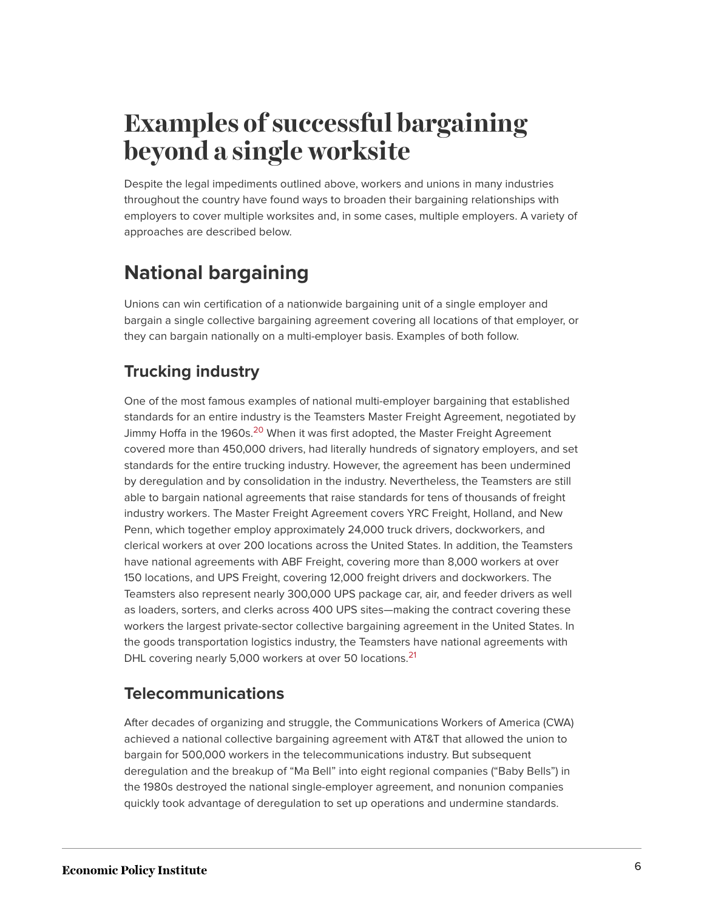## **Examples of successful bargaining beyond a single worksite**

Despite the legal impediments outlined above, workers and unions in many industries throughout the country have found ways to broaden their bargaining relationships with employers to cover multiple worksites and, in some cases, multiple employers. A variety of approaches are described below.

### **National bargaining**

Unions can win certification of a nationwide bargaining unit of a single employer and bargain a single collective bargaining agreement covering all locations of that employer, or they can bargain nationally on a multi-employer basis. Examples of both follow.

### **Trucking industry**

<span id="page-5-0"></span>One of the most famous examples of national multi-employer bargaining that established standards for an entire industry is the Teamsters Master Freight Agreement, negotiated by Jimmy Hoffa in the 1960s.<sup>[20](#page-15-2)</sup> When it was first adopted, the Master Freight Agreement covered more than 450,000 drivers, had literally hundreds of signatory employers, and set standards for the entire trucking industry. However, the agreement has been undermined by deregulation and by consolidation in the industry. Nevertheless, the Teamsters are still able to bargain national agreements that raise standards for tens of thousands of freight industry workers. The Master Freight Agreement covers YRC Freight, Holland, and New Penn, which together employ approximately 24,000 truck drivers, dockworkers, and clerical workers at over 200 locations across the United States. In addition, the Teamsters have national agreements with ABF Freight, covering more than 8,000 workers at over 150 locations, and UPS Freight, covering 12,000 freight drivers and dockworkers. The Teamsters also represent nearly 300,000 UPS package car, air, and feeder drivers as well as loaders, sorters, and clerks across 400 UPS sites—making the contract covering these workers the largest private-sector collective bargaining agreement in the United States. In the goods transportation logistics industry, the Teamsters have national agreements with DHL covering nearly 5,000 workers at over 50 locations.<sup>[21](#page-15-3)</sup>

### <span id="page-5-1"></span>**Telecommunications**

After decades of organizing and struggle, the Communications Workers of America (CWA) achieved a national collective bargaining agreement with AT&T that allowed the union to bargain for 500,000 workers in the telecommunications industry. But subsequent deregulation and the breakup of "Ma Bell" into eight regional companies ("Baby Bells") in the 1980s destroyed the national single-employer agreement, and nonunion companies quickly took advantage of deregulation to set up operations and undermine standards.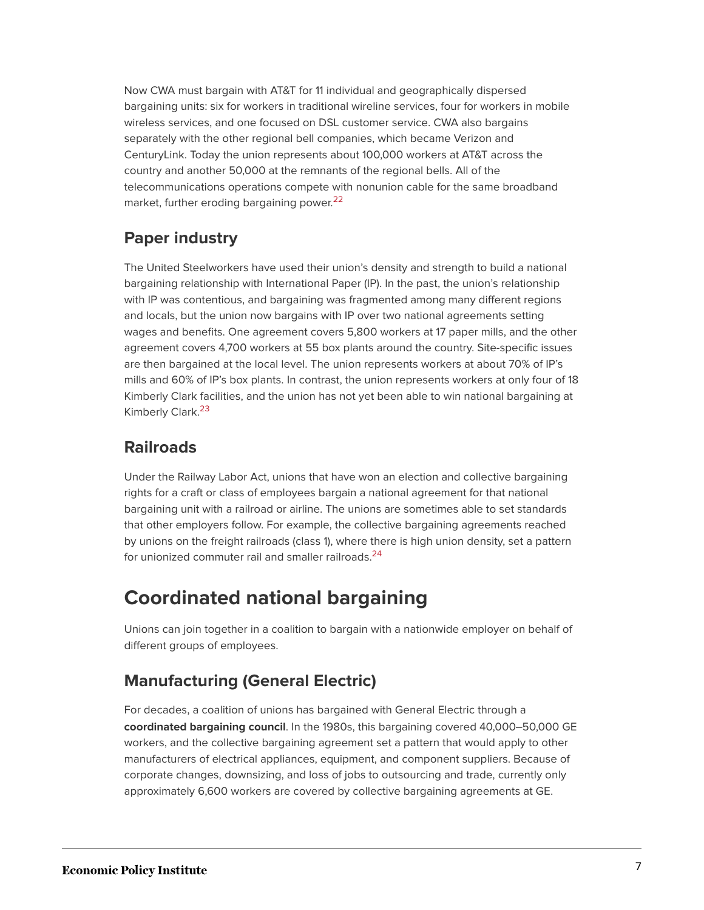Now CWA must bargain with AT&T for 11 individual and geographically dispersed bargaining units: six for workers in traditional wireline services, four for workers in mobile wireless services, and one focused on DSL customer service. CWA also bargains separately with the other regional bell companies, which became Verizon and CenturyLink. Today the union represents about 100,000 workers at AT&T across the country and another 50,000 at the remnants of the regional bells. All of the telecommunications operations compete with nonunion cable for the same broadband market, further eroding bargaining power.<sup>[22](#page-15-4)</sup>

### <span id="page-6-0"></span>**Paper industry**

The United Steelworkers have used their union's density and strength to build a national bargaining relationship with International Paper (IP). In the past, the union's relationship with IP was contentious, and bargaining was fragmented among many different regions and locals, but the union now bargains with IP over two national agreements setting wages and benefits. One agreement covers 5,800 workers at 17 paper mills, and the other agreement covers 4,700 workers at 55 box plants around the country. Site-specific issues are then bargained at the local level. The union represents workers at about 70% of IP's mills and 60% of IP's box plants. In contrast, the union represents workers at only four of 18 Kimberly Clark facilities, and the union has not yet been able to win national bargaining at Kimberly Clark.<sup>[23](#page-15-5)</sup>

#### <span id="page-6-1"></span>**Railroads**

Under the Railway Labor Act, unions that have won an election and collective bargaining rights for a craft or class of employees bargain a national agreement for that national bargaining unit with a railroad or airline. The unions are sometimes able to set standards that other employers follow. For example, the collective bargaining agreements reached by unions on the freight railroads (class 1), where there is high union density, set a pattern for unionized commuter rail and smaller railroads.<sup>[24](#page-15-6)</sup>

### <span id="page-6-2"></span>**Coordinated national bargaining**

Unions can join together in a coalition to bargain with a nationwide employer on behalf of different groups of employees.

### **Manufacturing (General Electric)**

For decades, a coalition of unions has bargained with General Electric through a **coordinated bargaining council**. In the 1980s, this bargaining covered 40,000‒50,000 GE workers, and the collective bargaining agreement set a pattern that would apply to other manufacturers of electrical appliances, equipment, and component suppliers. Because of corporate changes, downsizing, and loss of jobs to outsourcing and trade, currently only approximately 6,600 workers are covered by collective bargaining agreements at GE.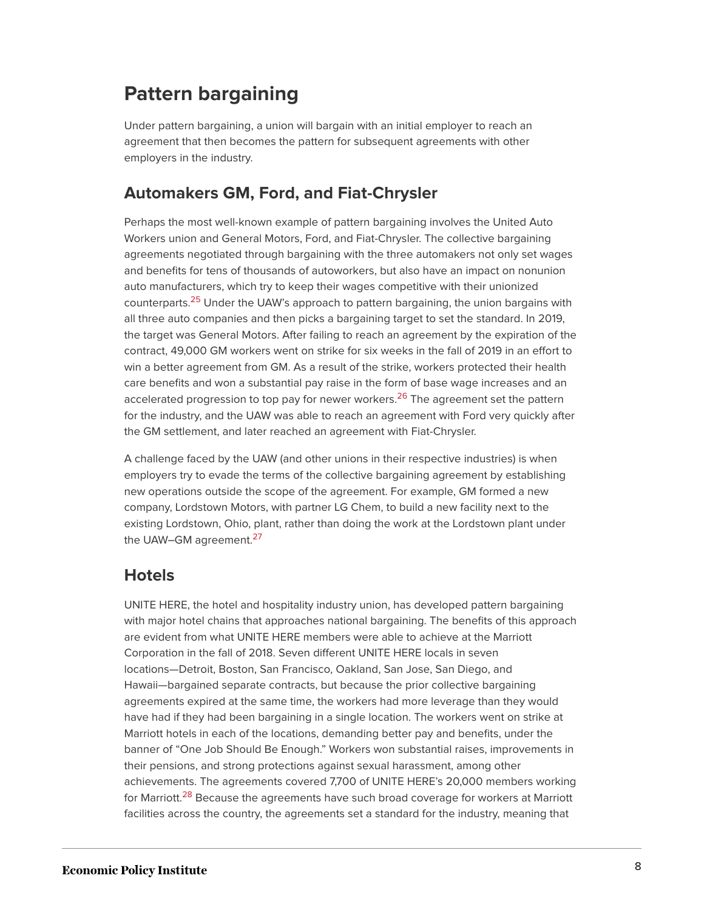### **Pattern bargaining**

Under pattern bargaining, a union will bargain with an initial employer to reach an agreement that then becomes the pattern for subsequent agreements with other employers in the industry.

#### **Automakers GM, Ford, and Fiat-Chrysler**

<span id="page-7-0"></span>Perhaps the most well-known example of pattern bargaining involves the United Auto Workers union and General Motors, Ford, and Fiat-Chrysler. The collective bargaining agreements negotiated through bargaining with the three automakers not only set wages and benefits for tens of thousands of autoworkers, but also have an impact on nonunion auto manufacturers, which try to keep their wages competitive with their unionized counterparts.<sup>[25](#page-15-7)</sup> Under the UAW's approach to pattern bargaining, the union bargains with all three auto companies and then picks a bargaining target to set the standard. In 2019, the target was General Motors. After failing to reach an agreement by the expiration of the contract, 49,000 GM workers went on strike for six weeks in the fall of 2019 in an effort to win a better agreement from GM. As a result of the strike, workers protected their health care benefits and won a substantial pay raise in the form of base wage increases and an accelerated progression to top pay for newer workers.<sup>[26](#page-15-8)</sup> The agreement set the pattern for the industry, and the UAW was able to reach an agreement with Ford very quickly after the GM settlement, and later reached an agreement with Fiat-Chrysler.

<span id="page-7-1"></span>A challenge faced by the UAW (and other unions in their respective industries) is when employers try to evade the terms of the collective bargaining agreement by establishing new operations outside the scope of the agreement. For example, GM formed a new company, Lordstown Motors, with partner LG Chem, to build a new facility next to the existing Lordstown, Ohio, plant, rather than doing the work at the Lordstown plant under the UAW-GM agreement.<sup>[27](#page-15-9)</sup>

#### <span id="page-7-2"></span>**Hotels**

<span id="page-7-3"></span>UNITE HERE, the hotel and hospitality industry union, has developed pattern bargaining with major hotel chains that approaches national bargaining. The benefits of this approach are evident from what UNITE HERE members were able to achieve at the Marriott Corporation in the fall of 2018. Seven different UNITE HERE locals in seven locations—Detroit, Boston, San Francisco, Oakland, San Jose, San Diego, and Hawaii—bargained separate contracts, but because the prior collective bargaining agreements expired at the same time, the workers had more leverage than they would have had if they had been bargaining in a single location. The workers went on strike at Marriott hotels in each of the locations, demanding better pay and benefits, under the banner of "One Job Should Be Enough." Workers won substantial raises, improvements in their pensions, and strong protections against sexual harassment, among other achievements. The agreements covered 7,700 of UNITE HERE's 20,000 members working for Marriott.<sup>[28](#page-15-10)</sup> Because the agreements have such broad coverage for workers at Marriott facilities across the country, the agreements set a standard for the industry, meaning that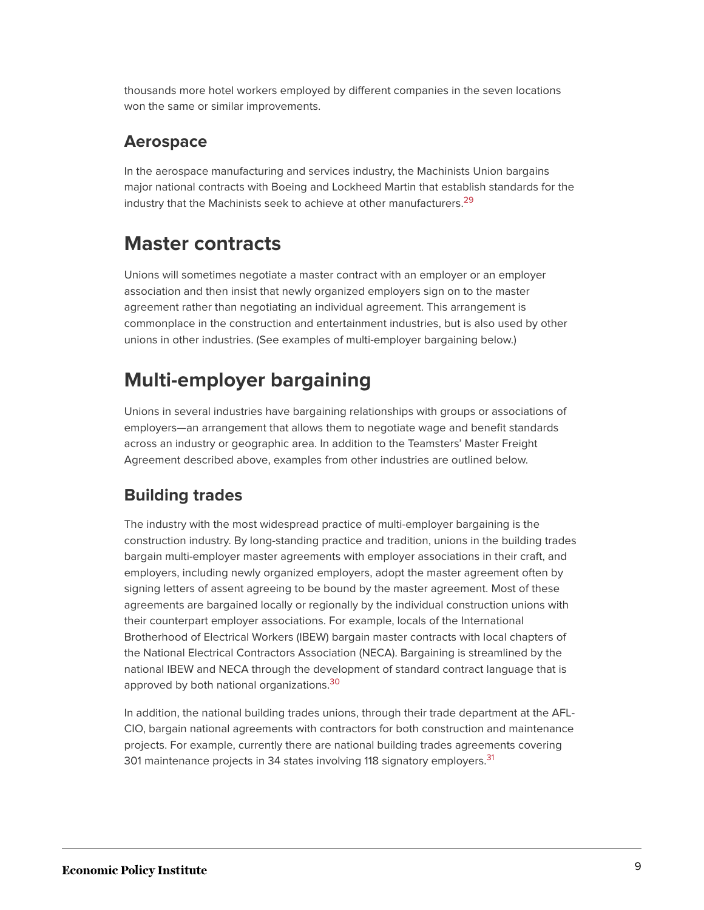thousands more hotel workers employed by different companies in the seven locations won the same or similar improvements.

#### **Aerospace**

<span id="page-8-0"></span>In the aerospace manufacturing and services industry, the Machinists Union bargains major national contracts with Boeing and Lockheed Martin that establish standards for the industry that the Machinists seek to achieve at other manufacturers.<sup>[29](#page-15-11)</sup>

### **Master contracts**

Unions will sometimes negotiate a master contract with an employer or an employer association and then insist that newly organized employers sign on to the master agreement rather than negotiating an individual agreement. This arrangement is commonplace in the construction and entertainment industries, but is also used by other unions in other industries. (See examples of multi-employer bargaining below.)

### **Multi-employer bargaining**

Unions in several industries have bargaining relationships with groups or associations of employers—an arrangement that allows them to negotiate wage and benefit standards across an industry or geographic area. In addition to the Teamsters' Master Freight Agreement described above, examples from other industries are outlined below.

### **Building trades**

The industry with the most widespread practice of multi-employer bargaining is the construction industry. By long-standing practice and tradition, unions in the building trades bargain multi-employer master agreements with employer associations in their craft, and employers, including newly organized employers, adopt the master agreement often by signing letters of assent agreeing to be bound by the master agreement. Most of these agreements are bargained locally or regionally by the individual construction unions with their counterpart employer associations. For example, locals of the International Brotherhood of Electrical Workers (IBEW) bargain master contracts with local chapters of the National Electrical Contractors Association (NECA). Bargaining is streamlined by the national IBEW and NECA through the development of standard contract language that is approved by both national organizations.<sup>[30](#page-15-12)</sup>

<span id="page-8-2"></span><span id="page-8-1"></span>In addition, the national building trades unions, through their trade department at the AFL-CIO, bargain national agreements with contractors for both construction and maintenance projects. For example, currently there are national building trades agreements covering 301 maintenance projects in 34 states involving 118 signatory employers.<sup>[31](#page-15-13)</sup>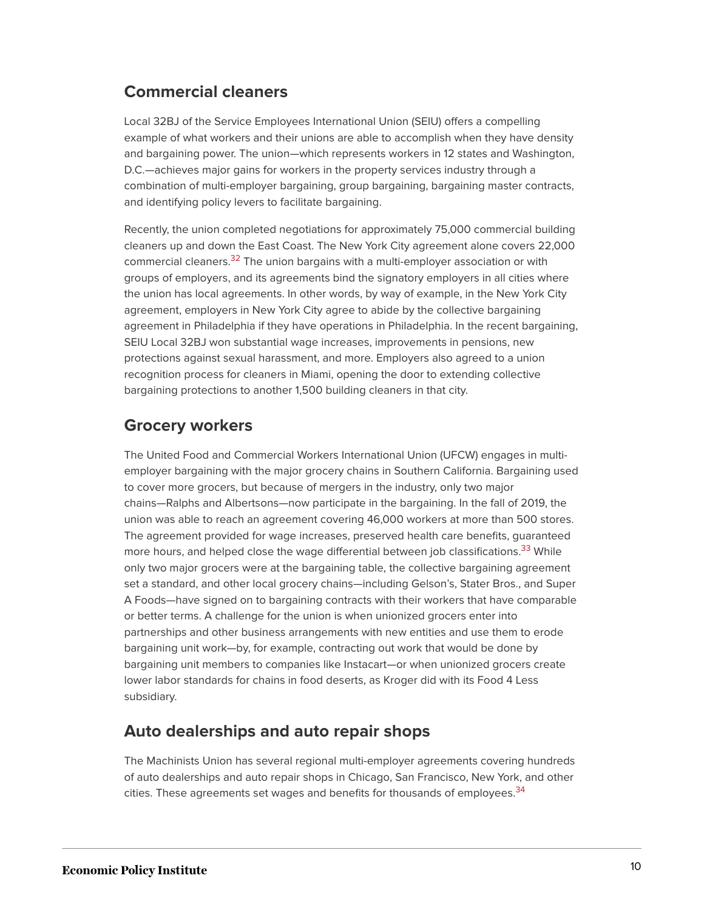### **Commercial cleaners**

Local 32BJ of the Service Employees International Union (SEIU) offers a compelling example of what workers and their unions are able to accomplish when they have density and bargaining power. The union—which represents workers in 12 states and Washington, D.C.—achieves major gains for workers in the property services industry through a combination of multi-employer bargaining, group bargaining, bargaining master contracts, and identifying policy levers to facilitate bargaining.

<span id="page-9-0"></span>Recently, the union completed negotiations for approximately 75,000 commercial building cleaners up and down the East Coast. The New York City agreement alone covers 22,000 commercial cleaners.<sup>[32](#page-15-14)</sup> The union bargains with a multi-employer association or with groups of employers, and its agreements bind the signatory employers in all cities where the union has local agreements. In other words, by way of example, in the New York City agreement, employers in New York City agree to abide by the collective bargaining agreement in Philadelphia if they have operations in Philadelphia. In the recent bargaining, SEIU Local 32BJ won substantial wage increases, improvements in pensions, new protections against sexual harassment, and more. Employers also agreed to a union recognition process for cleaners in Miami, opening the door to extending collective bargaining protections to another 1,500 building cleaners in that city.

#### **Grocery workers**

<span id="page-9-1"></span>The United Food and Commercial Workers International Union (UFCW) engages in multiemployer bargaining with the major grocery chains in Southern California. Bargaining used to cover more grocers, but because of mergers in the industry, only two major chains—Ralphs and Albertsons—now participate in the bargaining. In the fall of 2019, the union was able to reach an agreement covering 46,000 workers at more than 500 stores. The agreement provided for wage increases, preserved health care benefits, guaranteed more hours, and helped close the wage differential between job classifications.<sup>[33](#page-15-15)</sup> While only two major grocers were at the bargaining table, the collective bargaining agreement set a standard, and other local grocery chains—including Gelson's, Stater Bros., and Super A Foods—have signed on to bargaining contracts with their workers that have comparable or better terms. A challenge for the union is when unionized grocers enter into partnerships and other business arrangements with new entities and use them to erode bargaining unit work—by, for example, contracting out work that would be done by bargaining unit members to companies like Instacart—or when unionized grocers create lower labor standards for chains in food deserts, as Kroger did with its Food 4 Less subsidiary.

#### **Auto dealerships and auto repair shops**

<span id="page-9-2"></span>The Machinists Union has several regional multi-employer agreements covering hundreds of auto dealerships and auto repair shops in Chicago, San Francisco, New York, and other cities. These agreements set wages and benefits for thousands of employees.<sup>[34](#page-15-16)</sup>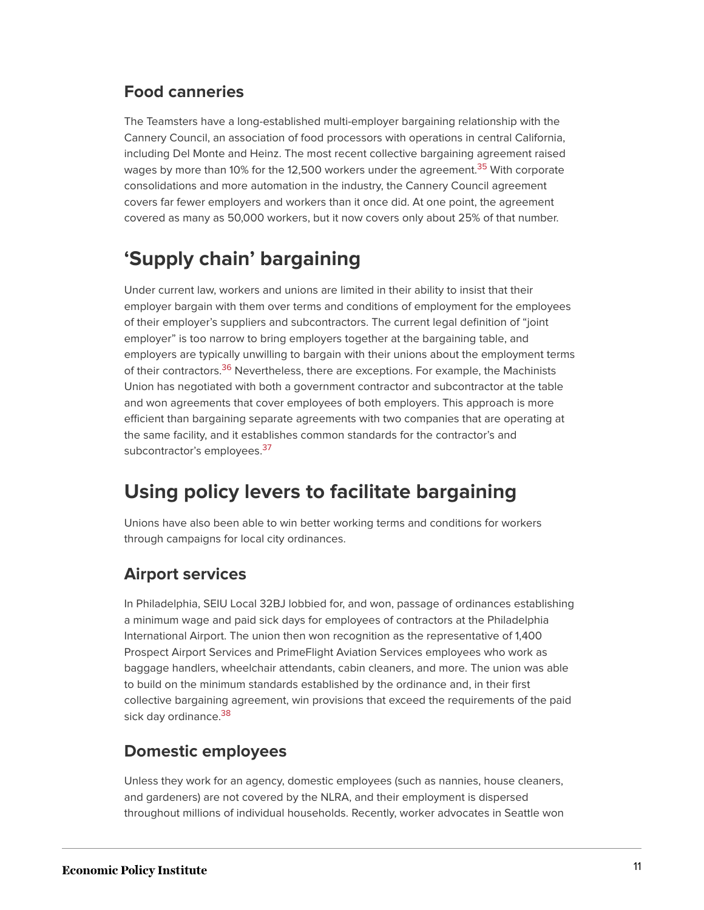#### **Food canneries**

<span id="page-10-0"></span>The Teamsters have a long-established multi-employer bargaining relationship with the Cannery Council, an association of food processors with operations in central California, including Del Monte and Heinz. The most recent collective bargaining agreement raised wages by more than 10% for the 12,500 workers under the agreement.<sup>[35](#page-15-17)</sup> With corporate consolidations and more automation in the industry, the Cannery Council agreement covers far fewer employers and workers than it once did. At one point, the agreement covered as many as 50,000 workers, but it now covers only about 25% of that number.

### **'Supply chain' bargaining**

<span id="page-10-1"></span>Under current law, workers and unions are limited in their ability to insist that their employer bargain with them over terms and conditions of employment for the employees of their employer's suppliers and subcontractors. The current legal definition of "joint employer" is too narrow to bring employers together at the bargaining table, and employers are typically unwilling to bargain with their unions about the employment terms of their contractors.<sup>[36](#page-16-0)</sup> Nevertheless, there are exceptions. For example, the Machinists Union has negotiated with both a government contractor and subcontractor at the table and won agreements that cover employees of both employers. This approach is more efficient than bargaining separate agreements with two companies that are operating at the same facility, and it establishes common standards for the contractor's and subcontractor's employees.<sup>[37](#page-16-1)</sup>

### <span id="page-10-2"></span>**Using policy levers to facilitate bargaining**

Unions have also been able to win better working terms and conditions for workers through campaigns for local city ordinances.

#### **Airport services**

In Philadelphia, SEIU Local 32BJ lobbied for, and won, passage of ordinances establishing a minimum wage and paid sick days for employees of contractors at the Philadelphia International Airport. The union then won recognition as the representative of 1,400 Prospect Airport Services and PrimeFlight Aviation Services employees who work as baggage handlers, wheelchair attendants, cabin cleaners, and more. The union was able to build on the minimum standards established by the ordinance and, in their first collective bargaining agreement, win provisions that exceed the requirements of the paid sick day ordinance.<sup>[38](#page-16-2)</sup>

#### <span id="page-10-3"></span>**Domestic employees**

Unless they work for an agency, domestic employees (such as nannies, house cleaners, and gardeners) are not covered by the NLRA, and their employment is dispersed throughout millions of individual households. Recently, worker advocates in Seattle won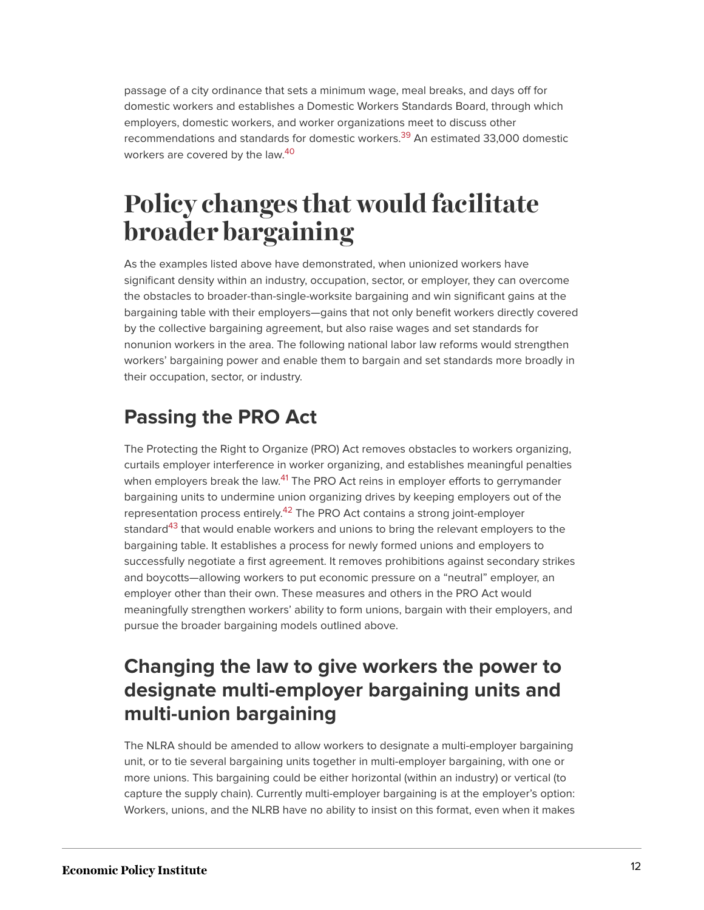<span id="page-11-0"></span>passage of a city ordinance that sets a minimum wage, meal breaks, and days off for domestic workers and establishes a Domestic Workers Standards Board, through which employers, domestic workers, and worker organizations meet to discuss other recommendations and standards for domestic workers.<sup>[39](#page-16-3)</sup> An estimated 33,000 domestic workers are covered by the law. [40](#page-16-4)

## <span id="page-11-1"></span>**Policy changes that would facilitate broader bargaining**

As the examples listed above have demonstrated, when unionized workers have significant density within an industry, occupation, sector, or employer, they can overcome the obstacles to broader-than-single-worksite bargaining and win significant gains at the bargaining table with their employers—gains that not only benefit workers directly covered by the collective bargaining agreement, but also raise wages and set standards for nonunion workers in the area. The following national labor law reforms would strengthen workers' bargaining power and enable them to bargain and set standards more broadly in their occupation, sector, or industry.

### **Passing the PRO Act**

<span id="page-11-4"></span><span id="page-11-3"></span><span id="page-11-2"></span>The Protecting the Right to Organize (PRO) Act removes obstacles to workers organizing, curtails employer interference in worker organizing, and establishes meaningful penalties when employers break the law.<sup>[41](#page-16-5)</sup> The PRO Act reins in employer efforts to gerrymander bargaining units to undermine union organizing drives by keeping employers out of the representation process entirely.<sup>[42](#page-16-6)</sup> The PRO Act contains a strong joint-employer standard<sup>[43](#page-16-7)</sup> that would enable workers and unions to bring the relevant employers to the bargaining table. It establishes a process for newly formed unions and employers to successfully negotiate a first agreement. It removes prohibitions against secondary strikes and boycotts—allowing workers to put economic pressure on a "neutral" employer, an employer other than their own. These measures and others in the PRO Act would meaningfully strengthen workers' ability to form unions, bargain with their employers, and pursue the broader bargaining models outlined above.

### **Changing the law to give workers the power to designate multi-employer bargaining units and multi-union bargaining**

The NLRA should be amended to allow workers to designate a multi-employer bargaining unit, or to tie several bargaining units together in multi-employer bargaining, with one or more unions. This bargaining could be either horizontal (within an industry) or vertical (to capture the supply chain). Currently multi-employer bargaining is at the employer's option: Workers, unions, and the NLRB have no ability to insist on this format, even when it makes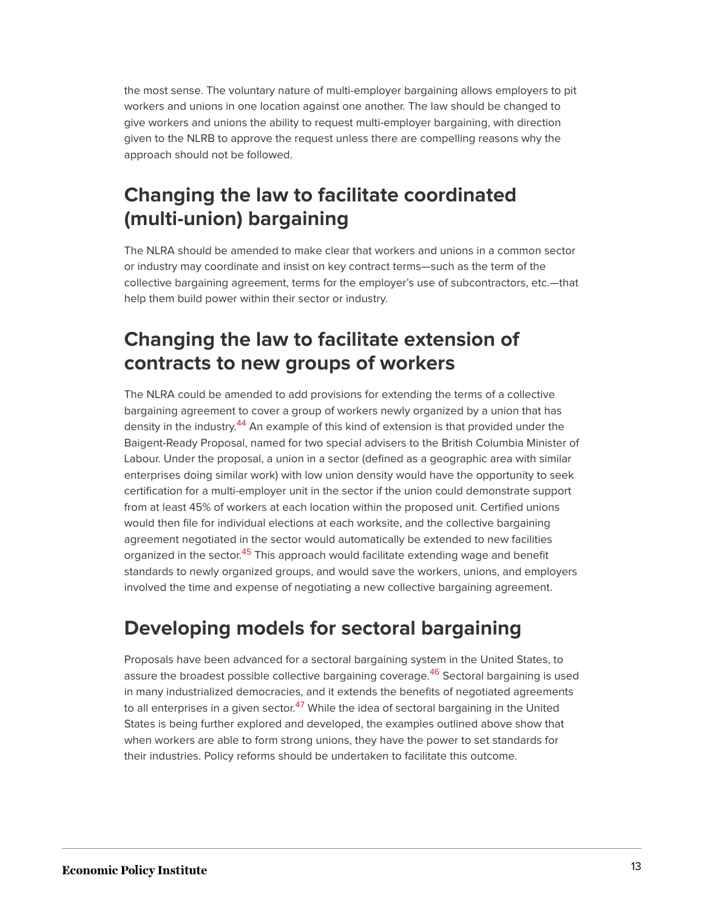the most sense. The voluntary nature of multi-employer bargaining allows employers to pit workers and unions in one location against one another. The law should be changed to give workers and unions the ability to request multi-employer bargaining, with direction given to the NLRB to approve the request unless there are compelling reasons why the approach should not be followed.

### **Changing the law to facilitate coordinated (multi-union) bargaining**

The NLRA should be amended to make clear that workers and unions in a common sector or industry may coordinate and insist on key contract terms—such as the term of the collective bargaining agreement, terms for the employer's use of subcontractors, etc.—that help them build power within their sector or industry.

### **Changing the law to facilitate extension of contracts to new groups of workers**

<span id="page-12-0"></span>The NLRA could be amended to add provisions for extending the terms of a collective bargaining agreement to cover a group of workers newly organized by a union that has density in the industry.<sup>[44](#page-16-8)</sup> An example of this kind of extension is that provided under the Baigent-Ready Proposal, named for two special advisers to the British Columbia Minister of Labour. Under the proposal, a union in a sector (defined as a geographic area with similar enterprises doing similar work) with low union density would have the opportunity to seek certification for a multi-employer unit in the sector if the union could demonstrate support from at least 45% of workers at each location within the proposed unit. Certified unions would then file for individual elections at each worksite, and the collective bargaining agreement negotiated in the sector would automatically be extended to new facilities organized in the sector.<sup>[45](#page-16-9)</sup> This approach would facilitate extending wage and benefit standards to newly organized groups, and would save the workers, unions, and employers involved the time and expense of negotiating a new collective bargaining agreement.

### <span id="page-12-1"></span>**Developing models for sectoral bargaining**

<span id="page-12-3"></span><span id="page-12-2"></span>Proposals have been advanced for a sectoral bargaining system in the United States, to assure the broadest possible collective bargaining coverage.<sup>[46](#page-16-10)</sup> Sectoral bargaining is used in many industrialized democracies, and it extends the benefits of negotiated agreements to all enterprises in a given sector.<sup>[47](#page-16-11)</sup> While the idea of sectoral bargaining in the United States is being further explored and developed, the examples outlined above show that when workers are able to form strong unions, they have the power to set standards for their industries. Policy reforms should be undertaken to facilitate this outcome.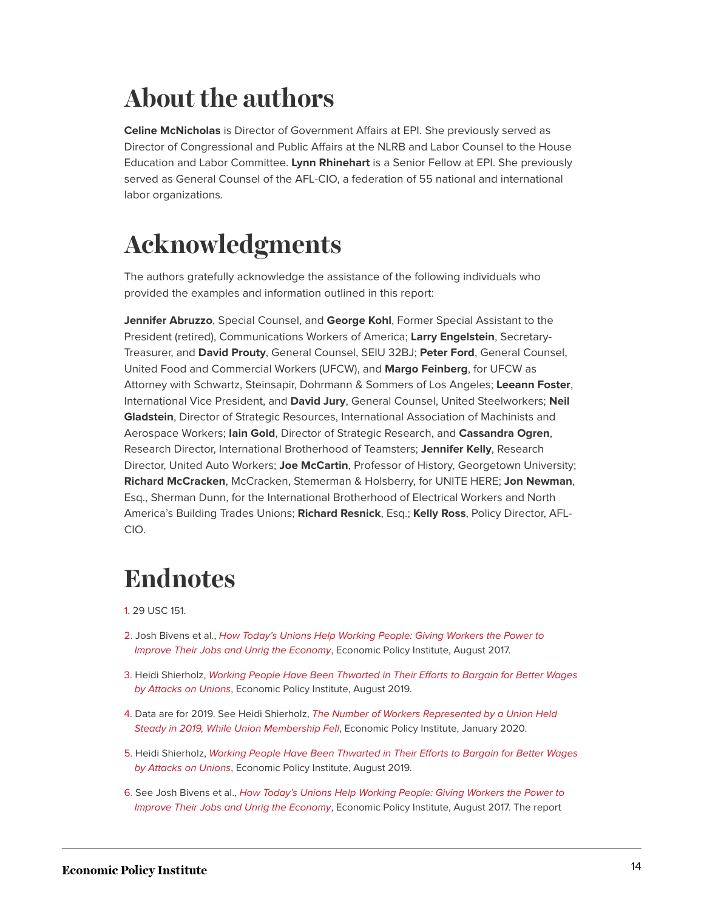## **About the authors**

**Celine McNicholas** is Director of Government Affairs at EPI. She previously served as Director of Congressional and Public Affairs at the NLRB and Labor Counsel to the House Education and Labor Committee. **Lynn Rhinehart** is a Senior Fellow at EPI. She previously served as General Counsel of the AFL-CIO, a federation of 55 national and international labor organizations.

## **Acknowledgments**

The authors gratefully acknowledge the assistance of the following individuals who provided the examples and information outlined in this report:

**Jennifer Abruzzo**, Special Counsel, and **George Kohl**, Former Special Assistant to the President (retired), Communications Workers of America; **Larry Engelstein**, Secretary-Treasurer, and **David Prouty**, General Counsel, SEIU 32BJ; **Peter Ford**, General Counsel, United Food and Commercial Workers (UFCW), and **Margo Feinberg**, for UFCW as Attorney with Schwartz, Steinsapir, Dohrmann & Sommers of Los Angeles; **Leeann Foster**, International Vice President, and **David Jury**, General Counsel, United Steelworkers; **Neil Gladstein**, Director of Strategic Resources, International Association of Machinists and Aerospace Workers; **Iain Gold**, Director of Strategic Research, and **Cassandra Ogren**, Research Director, International Brotherhood of Teamsters; **Jennifer Kelly**, Research Director, United Auto Workers; **Joe McCartin**, Professor of History, Georgetown University; **Richard McCracken**, McCracken, Stemerman & Holsberry, for UNITE HERE; **Jon Newman**, Esq., Sherman Dunn, for the International Brotherhood of Electrical Workers and North America's Building Trades Unions; **Richard Resnick**, Esq.; **Kelly Ross**, Policy Director, AFL-CIO.

## **Endnotes**

- <span id="page-13-0"></span>[1.](#page-1-0) 29 USC 151.
- <span id="page-13-1"></span>[2.](#page-1-1) Josh Bivens et al., [How Today's Unions Help Working People: Giving Workers the Power to](https://www.epi.org/publication/how-todays-unions-help-working-people-giving-workers-the-power-to-improve-their-jobs-and-unrig-the-economy/) [Improve Their Jobs and Unrig the Economy](https://www.epi.org/publication/how-todays-unions-help-working-people-giving-workers-the-power-to-improve-their-jobs-and-unrig-the-economy/), Economic Policy Institute, August 2017.
- <span id="page-13-2"></span>[3.](#page-1-2) Heidi Shierholz, [Working People Have Been Thwarted in Their Efforts to Bargain for Better Wages](https://www.epi.org/publication/labor-day-2019-collective-bargaining/) [by Attacks on Unions](https://www.epi.org/publication/labor-day-2019-collective-bargaining/), Economic Policy Institute, August 2019.
- <span id="page-13-3"></span>[4.](#page-1-3) Data are for 2019. See Heidi Shierholz, [The Number of Workers Represented by a Union Held](https://www.epi.org/publication/2019-union-membership-data/) [Steady in 2019, While Union Membership Fell](https://www.epi.org/publication/2019-union-membership-data/), Economic Policy Institute, January 2020.
- <span id="page-13-4"></span>[5.](#page-1-4) Heidi Shierholz, [Working People Have Been Thwarted in Their Efforts to Bargain for Better Wages](https://www.epi.org/publication/labor-day-2019-collective-bargaining/) [by Attacks on Unions](https://www.epi.org/publication/labor-day-2019-collective-bargaining/), Economic Policy Institute, August 2019.
- <span id="page-13-5"></span>[6.](#page-2-0) See Josh Bivens et al., [How Today's Unions Help Working People: Giving Workers the Power to](https://www.epi.org/publication/how-todays-unions-help-working-people-giving-workers-the-power-to-improve-their-jobs-and-unrig-the-economy/) [Improve Their Jobs and Unrig the Economy](https://www.epi.org/publication/how-todays-unions-help-working-people-giving-workers-the-power-to-improve-their-jobs-and-unrig-the-economy/), Economic Policy Institute, August 2017. The report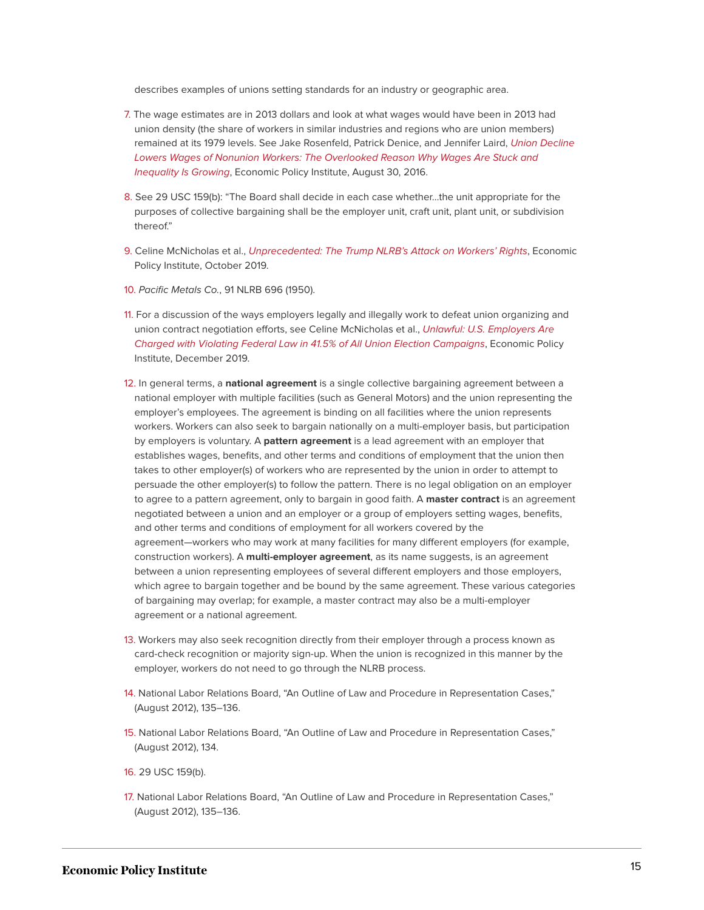describes examples of unions setting standards for an industry or geographic area.

- <span id="page-14-0"></span>[7.](#page-2-1) The wage estimates are in 2013 dollars and look at what wages would have been in 2013 had union density (the share of workers in similar industries and regions who are union members) remained at its 1979 levels. See Jake Rosenfeld, Patrick Denice, and Jennifer Laird, [Union Decline](https://www.epi.org/publication/union-decline-lowers-wages-of-nonunion-workers-the-overlooked-reason-why-wages-are-stuck-and-inequality-is-growing/) [Lowers Wages of Nonunion Workers: The Overlooked Reason Why Wages Are Stuck and](https://www.epi.org/publication/union-decline-lowers-wages-of-nonunion-workers-the-overlooked-reason-why-wages-are-stuck-and-inequality-is-growing/) [Inequality Is Growing](https://www.epi.org/publication/union-decline-lowers-wages-of-nonunion-workers-the-overlooked-reason-why-wages-are-stuck-and-inequality-is-growing/), Economic Policy Institute, August 30, 2016.
- <span id="page-14-1"></span>[8.](#page-2-2) See 29 USC 159(b): "The Board shall decide in each case whether…the unit appropriate for the purposes of collective bargaining shall be the employer unit, craft unit, plant unit, or subdivision thereof."
- <span id="page-14-2"></span>[9.](#page-2-3) Celine McNicholas et al., [Unprecedented: The Trump NLRB's Attack on Workers' Rights](https://www.epi.org/publication/unprecedented-the-trump-nlrbs-attack-on-workers-rights/), Economic Policy Institute, October 2019.
- <span id="page-14-3"></span>[10.](#page-2-4) Pacific Metals Co., 91 NLRB 696 (1950).
- <span id="page-14-4"></span>[11.](#page-2-5) For a discussion of the ways employers legally and illegally work to defeat union organizing and union contract negotiation efforts, see Celine McNicholas et al., [Unlawful: U.S. Employers Are](https://www.epi.org/publication/unlawful-employer-opposition-to-union-election-campaigns/) [Charged with Violating Federal Law in 41.5% of All Union Election Campaigns](https://www.epi.org/publication/unlawful-employer-opposition-to-union-election-campaigns/), Economic Policy Institute, December 2019.
- <span id="page-14-5"></span>[12.](#page-2-6) In general terms, a **national agreement** is a single collective bargaining agreement between a national employer with multiple facilities (such as General Motors) and the union representing the employer's employees. The agreement is binding on all facilities where the union represents workers. Workers can also seek to bargain nationally on a multi-employer basis, but participation by employers is voluntary. A **pattern agreement** is a lead agreement with an employer that establishes wages, benefits, and other terms and conditions of employment that the union then takes to other employer(s) of workers who are represented by the union in order to attempt to persuade the other employer(s) to follow the pattern. There is no legal obligation on an employer to agree to a pattern agreement, only to bargain in good faith. A **master contract** is an agreement negotiated between a union and an employer or a group of employers setting wages, benefits, and other terms and conditions of employment for all workers covered by the agreement—workers who may work at many facilities for many different employers (for example, construction workers). A **multi-employer agreement**, as its name suggests, is an agreement between a union representing employees of several different employers and those employers, which agree to bargain together and be bound by the same agreement. These various categories of bargaining may overlap; for example, a master contract may also be a multi-employer agreement or a national agreement.
- <span id="page-14-6"></span>[13.](#page-3-0) Workers may also seek recognition directly from their employer through a process known as card-check recognition or majority sign-up. When the union is recognized in this manner by the employer, workers do not need to go through the NLRB process.
- <span id="page-14-7"></span>[14.](#page-3-1) National Labor Relations Board, "An Outline of Law and Procedure in Representation Cases," (August 2012), 135–136.
- <span id="page-14-8"></span>[15.](#page-3-2) National Labor Relations Board, "An Outline of Law and Procedure in Representation Cases," (August 2012), 134.
- <span id="page-14-9"></span>[16.](#page-3-3) 29 USC 159(b).
- <span id="page-14-10"></span>[17.](#page-3-4) National Labor Relations Board, "An Outline of Law and Procedure in Representation Cases," (August 2012), 135–136.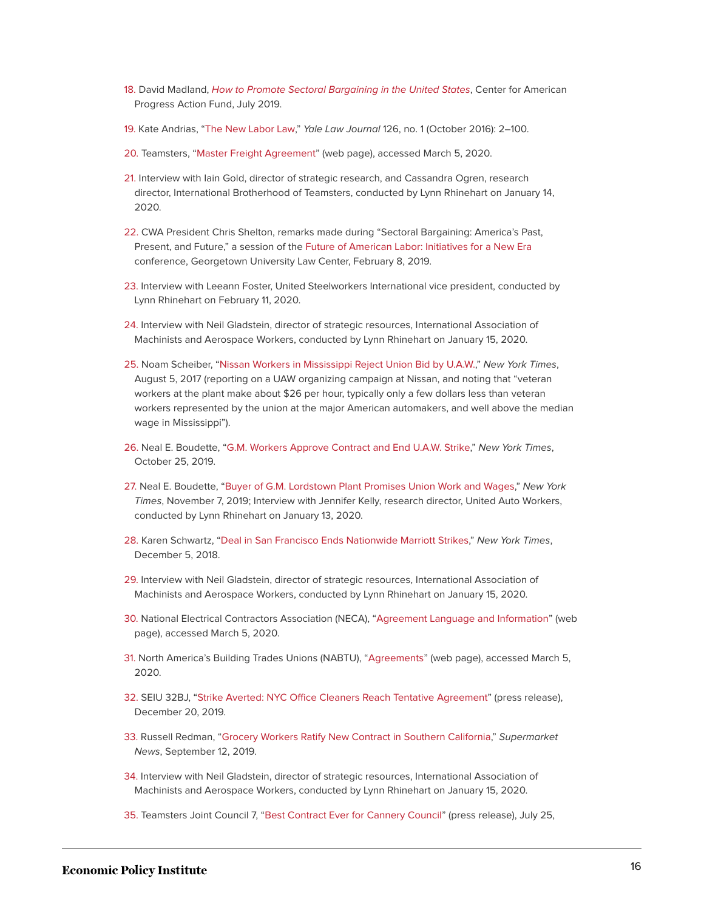- <span id="page-15-0"></span>[18.](#page-3-5) David Madland, [How to Promote Sectoral Bargaining in the United States](https://www.americanprogressaction.org/issues/economy/reports/2019/07/10/174385/promote-sectoral-bargaining-united-states/), Center for American Progress Action Fund, July 2019.
- <span id="page-15-1"></span>[19.](#page-4-0) Kate Andrias, ["The New Labor Law,](https://www.yalelawjournal.org/article/the-new-labor-law)" Yale Law Journal 126, no. 1 (October 2016): 2–100.
- <span id="page-15-2"></span>[20.](#page-5-0) Teamsters, ["Master Freight Agreement"](https://teamster.org/about/teamster-history/freight-agreement) (web page), accessed March 5, 2020.
- <span id="page-15-3"></span>[21.](#page-5-1) Interview with Iain Gold, director of strategic research, and Cassandra Ogren, research director, International Brotherhood of Teamsters, conducted by Lynn Rhinehart on January 14, 2020.
- <span id="page-15-4"></span>[22.](#page-6-0) CWA President Chris Shelton, remarks made during "Sectoral Bargaining: America's Past, Present, and Future," a session of the [Future of American Labor: Initiatives for a New Era](http://www.shankerinstitute.org/event/future-american-labor) conference, Georgetown University Law Center, February 8, 2019.
- <span id="page-15-5"></span>[23.](#page-6-1) Interview with Leeann Foster, United Steelworkers International vice president, conducted by Lynn Rhinehart on February 11, 2020.
- <span id="page-15-6"></span>[24.](#page-6-2) Interview with Neil Gladstein, director of strategic resources, International Association of Machinists and Aerospace Workers, conducted by Lynn Rhinehart on January 15, 2020.
- <span id="page-15-7"></span>[25.](#page-7-0) Noam Scheiber, ["Nissan Workers in Mississippi Reject Union Bid by U.A.W.](https://www.nytimes.com/2017/08/05/business/nissan-united-auto-workers-union.html)," New York Times, August 5, 2017 (reporting on a UAW organizing campaign at Nissan, and noting that "veteran workers at the plant make about \$26 per hour, typically only a few dollars less than veteran workers represented by the union at the major American automakers, and well above the median wage in Mississippi").
- <span id="page-15-8"></span>[26.](#page-7-1) Neal E. Boudette, ["G.M. Workers Approve Contract and End U.A.W. Strike](https://www.nytimes.com/2019/10/25/business/gm-contract.html)," New York Times, October 25, 2019.
- <span id="page-15-9"></span>[27.](#page-7-2) Neal E. Boudette, "[Buyer of G.M. Lordstown Plant Promises Union Work and Wages,](https://www.nytimes.com/2019/11/07/business/gm-lordstown-plant.html)" New York Times, November 7, 2019; Interview with Jennifer Kelly, research director, United Auto Workers, conducted by Lynn Rhinehart on January 13, 2020.
- <span id="page-15-10"></span>[28.](#page-7-3) Karen Schwartz, ["Deal in San Francisco Ends Nationwide Marriott Strikes,](https://www.nytimes.com/2018/12/03/travel/san-francisco-marriott-strike-over.html)" New York Times, December 5, 2018.
- <span id="page-15-11"></span>[29.](#page-8-0) Interview with Neil Gladstein, director of strategic resources, International Association of Machinists and Aerospace Workers, conducted by Lynn Rhinehart on January 15, 2020.
- <span id="page-15-12"></span>[30.](#page-8-1) National Electrical Contractors Association (NECA), "[Agreement Language and Information](https://www.necanet.org/industry-priorities/labor-relations-tools-resources/labor-relations-agreement-information)" (web page), accessed March 5, 2020.
- <span id="page-15-13"></span>[31.](#page-8-2) North America's Building Trades Unions (NABTU), ["Agreements"](https://nabtu.org/agreements/) (web page), accessed March 5, 2020.
- <span id="page-15-14"></span>[32.](#page-9-0) SEIU 32BJ, "[Strike Averted: NYC Office Cleaners Reach Tentative Agreement](https://www.seiu32bj.org/press-release/strike-averted-nyc-office-cleaners-reach-tentative-agreement/)" (press release), December 20, 2019.
- <span id="page-15-15"></span>[33.](#page-9-1) Russell Redman, ["Grocery Workers Ratify New Contract in Southern California](https://www.supermarketnews.com/retail-financial/grocery-workers-ratify-new-contract-southern-california)," Supermarket News, September 12, 2019.
- <span id="page-15-16"></span>[34.](#page-9-2) Interview with Neil Gladstein, director of strategic resources, International Association of Machinists and Aerospace Workers, conducted by Lynn Rhinehart on January 15, 2020.
- <span id="page-15-17"></span>[35.](#page-10-0) Teamsters Joint Council 7, ["Best Contract Ever for Cannery Council](https://teamstersjc7.org/local-601/best-contract-ever-for-cannery-council)" (press release), July 25,